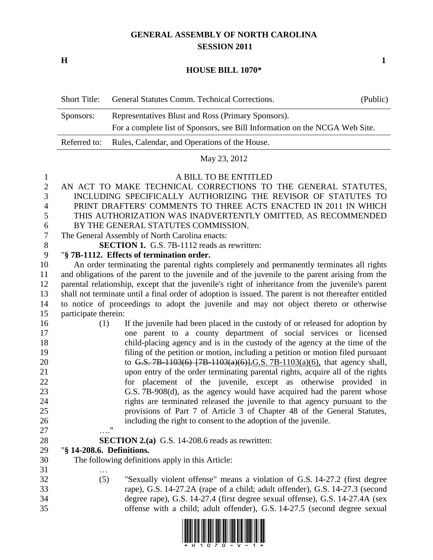# **GENERAL ASSEMBLY OF NORTH CAROLINA SESSION 2011**

**H 1**

### **HOUSE BILL 1070\***

| - Short Title: | General Statutes Comm. Technical Corrections.                               | (Public) |
|----------------|-----------------------------------------------------------------------------|----------|
| Sponsors:      | Representatives Blust and Ross (Primary Sponsors).                          |          |
|                | For a complete list of Sponsors, see Bill Information on the NCGA Web Site. |          |
|                | Referred to: Rules, Calendar, and Operations of the House.                  |          |

May 23, 2012

#### A BILL TO BE ENTITLED

 AN ACT TO MAKE TECHNICAL CORRECTIONS TO THE GENERAL STATUTES, INCLUDING SPECIFICALLY AUTHORIZING THE REVISOR OF STATUTES TO PRINT DRAFTERS' COMMENTS TO THREE ACTS ENACTED IN 2011 IN WHICH THIS AUTHORIZATION WAS INADVERTENTLY OMITTED, AS RECOMMENDED BY THE GENERAL STATUTES COMMISSION. The General Assembly of North Carolina enacts:

**SECTION 1.** G.S. 7B-1112 reads as rewritten:

## "**§ 7B-1112. Effects of termination order.**

 An order terminating the parental rights completely and permanently terminates all rights and obligations of the parent to the juvenile and of the juvenile to the parent arising from the parental relationship, except that the juvenile's right of inheritance from the juvenile's parent shall not terminate until a final order of adoption is issued. The parent is not thereafter entitled to notice of proceedings to adopt the juvenile and may not object thereto or otherwise participate therein:

| 16 | (1)                       | If the juvenile had been placed in the custody of or released for adoption by   |
|----|---------------------------|---------------------------------------------------------------------------------|
| 17 |                           | one parent to a county department of social services or licensed                |
| 18 |                           | child-placing agency and is in the custody of the agency at the time of the     |
| 19 |                           | filing of the petition or motion, including a petition or motion filed pursuant |
| 20 |                           | to G.S. 7B-1103(6) $[7B-1103(a)(6)], G.S. 7B-1103(a)(6),$ that agency shall,    |
| 21 |                           | upon entry of the order terminating parental rights, acquire all of the rights  |
| 22 |                           | for placement of the juvenile, except as otherwise provided in                  |
| 23 |                           | G.S. 7B-908(d), as the agency would have acquired had the parent whose          |
| 24 |                           | rights are terminated released the juvenile to that agency pursuant to the      |
| 25 |                           | provisions of Part 7 of Article 3 of Chapter 48 of the General Statutes,        |
| 26 |                           | including the right to consent to the adoption of the juvenile.                 |
| 27 | 11                        |                                                                                 |
| 28 |                           | <b>SECTION 2.(a)</b> G.S. 14-208.6 reads as rewritten:                          |
| 29 | "§ 14-208.6. Definitions. |                                                                                 |

The following definitions apply in this Article:

- … (5) "Sexually violent offense" means a violation of G.S. 14-27.2 (first degree
- rape), G.S. 14-27.2A (rape of a child; adult offender), G.S. 14-27.3 (second
- 
- degree rape), G.S. 14-27.4 (first degree sexual offense), G.S. 14-27.4A (sex offense with a child; adult offender), G.S. 14-27.5 (second degree sexual

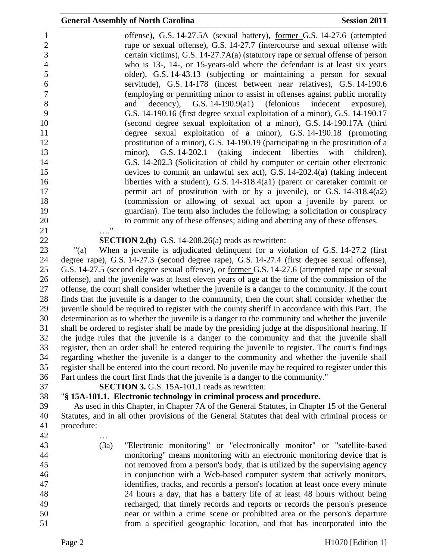|                                                                                                                                   | <b>General Assembly of North Carolina</b><br><b>Session 2011</b>                                                                                                                                                                                                                                                                                                                                                                                                                                                                                                                                                                                                                                                                                                                                                                                                                                                                                                                                                                                                                                                                |
|-----------------------------------------------------------------------------------------------------------------------------------|---------------------------------------------------------------------------------------------------------------------------------------------------------------------------------------------------------------------------------------------------------------------------------------------------------------------------------------------------------------------------------------------------------------------------------------------------------------------------------------------------------------------------------------------------------------------------------------------------------------------------------------------------------------------------------------------------------------------------------------------------------------------------------------------------------------------------------------------------------------------------------------------------------------------------------------------------------------------------------------------------------------------------------------------------------------------------------------------------------------------------------|
| 1<br>$\sqrt{2}$<br>3<br>$\overline{4}$<br>5<br>$\boldsymbol{6}$<br>$\boldsymbol{7}$<br>$\,8\,$<br>9<br>10<br>11<br>12<br>13<br>14 | offense), G.S. 14-27.5A (sexual battery), <u>former G.S. 14-27.6</u> (attempted<br>rape or sexual offense), G.S. 14-27.7 (intercourse and sexual offense with<br>certain victims), G.S. 14-27.7A(a) (statutory rape or sexual offense of person<br>who is 13-, 14-, or 15-years-old where the defendant is at least six years<br>older), G.S. 14-43.13 (subjecting or maintaining a person for sexual<br>servitude), G.S. 14-178 (incest between near relatives), G.S. 14-190.6<br>(employing or permitting minor to assist in offenses against public morality<br>G.S. $14-190.9(a1)$<br>(felonious<br>indecent<br>decency),<br>exposure),<br>and<br>G.S. 14-190.16 (first degree sexual exploitation of a minor), G.S. 14-190.17<br>(second degree sexual exploitation of a minor), G.S. 14-190.17A (third<br>degree sexual exploitation of a minor), G.S. 14-190.18 (promoting<br>prostitution of a minor), G.S. 14-190.19 (participating in the prostitution of a<br>minor), G.S. 14-202.1 (taking indecent liberties<br>with<br>children),<br>G.S. 14-202.3 (Solicitation of child by computer or certain other electronic |
| 15<br>16                                                                                                                          | devices to commit an unlawful sex act), G.S. 14-202.4(a) (taking indecent                                                                                                                                                                                                                                                                                                                                                                                                                                                                                                                                                                                                                                                                                                                                                                                                                                                                                                                                                                                                                                                       |
| 17                                                                                                                                | liberties with a student), G.S. $14-318.4(a1)$ (parent or caretaker commit or<br>permit act of prostitution with or by a juvenile), or G.S. $14-318.4(a2)$                                                                                                                                                                                                                                                                                                                                                                                                                                                                                                                                                                                                                                                                                                                                                                                                                                                                                                                                                                      |
| 18                                                                                                                                | (commission or allowing of sexual act upon a juvenile by parent or                                                                                                                                                                                                                                                                                                                                                                                                                                                                                                                                                                                                                                                                                                                                                                                                                                                                                                                                                                                                                                                              |
| 19                                                                                                                                | guardian). The term also includes the following: a solicitation or conspiracy                                                                                                                                                                                                                                                                                                                                                                                                                                                                                                                                                                                                                                                                                                                                                                                                                                                                                                                                                                                                                                                   |
| 20                                                                                                                                | to commit any of these offenses; aiding and abetting any of these offenses.                                                                                                                                                                                                                                                                                                                                                                                                                                                                                                                                                                                                                                                                                                                                                                                                                                                                                                                                                                                                                                                     |
| 21                                                                                                                                | $^{\prime\prime}$                                                                                                                                                                                                                                                                                                                                                                                                                                                                                                                                                                                                                                                                                                                                                                                                                                                                                                                                                                                                                                                                                                               |
| 22                                                                                                                                | <b>SECTION 2.(b)</b> G.S. 14-208.26(a) reads as rewritten:                                                                                                                                                                                                                                                                                                                                                                                                                                                                                                                                                                                                                                                                                                                                                                                                                                                                                                                                                                                                                                                                      |
| 23                                                                                                                                | When a juvenile is adjudicated delinquent for a violation of G.S. 14-27.2 (first<br>" $(a)$                                                                                                                                                                                                                                                                                                                                                                                                                                                                                                                                                                                                                                                                                                                                                                                                                                                                                                                                                                                                                                     |
| 24                                                                                                                                | degree rape), G.S. 14-27.3 (second degree rape), G.S. 14-27.4 (first degree sexual offense),                                                                                                                                                                                                                                                                                                                                                                                                                                                                                                                                                                                                                                                                                                                                                                                                                                                                                                                                                                                                                                    |
| 25<br>26                                                                                                                          | G.S. 14-27.5 (second degree sexual offense), or former G.S. 14-27.6 (attempted rape or sexual<br>offense), and the juvenile was at least eleven years of age at the time of the commission of the                                                                                                                                                                                                                                                                                                                                                                                                                                                                                                                                                                                                                                                                                                                                                                                                                                                                                                                               |
| 27                                                                                                                                | offense, the court shall consider whether the juvenile is a danger to the community. If the court                                                                                                                                                                                                                                                                                                                                                                                                                                                                                                                                                                                                                                                                                                                                                                                                                                                                                                                                                                                                                               |
| 28                                                                                                                                | finds that the juvenile is a danger to the community, then the court shall consider whether the                                                                                                                                                                                                                                                                                                                                                                                                                                                                                                                                                                                                                                                                                                                                                                                                                                                                                                                                                                                                                                 |
| 29                                                                                                                                | juvenile should be required to register with the county sheriff in accordance with this Part. The                                                                                                                                                                                                                                                                                                                                                                                                                                                                                                                                                                                                                                                                                                                                                                                                                                                                                                                                                                                                                               |
| 30                                                                                                                                | determination as to whether the juvenile is a danger to the community and whether the juvenile                                                                                                                                                                                                                                                                                                                                                                                                                                                                                                                                                                                                                                                                                                                                                                                                                                                                                                                                                                                                                                  |
| 31                                                                                                                                | shall be ordered to register shall be made by the presiding judge at the dispositional hearing. If                                                                                                                                                                                                                                                                                                                                                                                                                                                                                                                                                                                                                                                                                                                                                                                                                                                                                                                                                                                                                              |
| 32                                                                                                                                | the judge rules that the juvenile is a danger to the community and that the juvenile shall                                                                                                                                                                                                                                                                                                                                                                                                                                                                                                                                                                                                                                                                                                                                                                                                                                                                                                                                                                                                                                      |
| 33                                                                                                                                | register, then an order shall be entered requiring the juvenile to register. The court's findings                                                                                                                                                                                                                                                                                                                                                                                                                                                                                                                                                                                                                                                                                                                                                                                                                                                                                                                                                                                                                               |
| 34                                                                                                                                | regarding whether the juvenile is a danger to the community and whether the juvenile shall                                                                                                                                                                                                                                                                                                                                                                                                                                                                                                                                                                                                                                                                                                                                                                                                                                                                                                                                                                                                                                      |
| 35                                                                                                                                | register shall be entered into the court record. No juvenile may be required to register under this                                                                                                                                                                                                                                                                                                                                                                                                                                                                                                                                                                                                                                                                                                                                                                                                                                                                                                                                                                                                                             |
| 36                                                                                                                                | Part unless the court first finds that the juvenile is a danger to the community."                                                                                                                                                                                                                                                                                                                                                                                                                                                                                                                                                                                                                                                                                                                                                                                                                                                                                                                                                                                                                                              |
| 37<br>38                                                                                                                          | <b>SECTION 3.</b> G.S. 15A-101.1 reads as rewritten:<br>"§ 15A-101.1. Electronic technology in criminal process and procedure.                                                                                                                                                                                                                                                                                                                                                                                                                                                                                                                                                                                                                                                                                                                                                                                                                                                                                                                                                                                                  |
| 39                                                                                                                                | As used in this Chapter, in Chapter 7A of the General Statutes, in Chapter 15 of the General                                                                                                                                                                                                                                                                                                                                                                                                                                                                                                                                                                                                                                                                                                                                                                                                                                                                                                                                                                                                                                    |
| 40                                                                                                                                | Statutes, and in all other provisions of the General Statutes that deal with criminal process or                                                                                                                                                                                                                                                                                                                                                                                                                                                                                                                                                                                                                                                                                                                                                                                                                                                                                                                                                                                                                                |
| 41                                                                                                                                | procedure:                                                                                                                                                                                                                                                                                                                                                                                                                                                                                                                                                                                                                                                                                                                                                                                                                                                                                                                                                                                                                                                                                                                      |
| 42                                                                                                                                |                                                                                                                                                                                                                                                                                                                                                                                                                                                                                                                                                                                                                                                                                                                                                                                                                                                                                                                                                                                                                                                                                                                                 |
| 43                                                                                                                                | "Electronic monitoring" or "electronically monitor" or "satellite-based<br>(3a)                                                                                                                                                                                                                                                                                                                                                                                                                                                                                                                                                                                                                                                                                                                                                                                                                                                                                                                                                                                                                                                 |
| 44                                                                                                                                | monitoring" means monitoring with an electronic monitoring device that is                                                                                                                                                                                                                                                                                                                                                                                                                                                                                                                                                                                                                                                                                                                                                                                                                                                                                                                                                                                                                                                       |
| 45                                                                                                                                | not removed from a person's body, that is utilized by the supervising agency                                                                                                                                                                                                                                                                                                                                                                                                                                                                                                                                                                                                                                                                                                                                                                                                                                                                                                                                                                                                                                                    |
| 46                                                                                                                                | in conjunction with a Web-based computer system that actively monitors,                                                                                                                                                                                                                                                                                                                                                                                                                                                                                                                                                                                                                                                                                                                                                                                                                                                                                                                                                                                                                                                         |
| 47                                                                                                                                | identifies, tracks, and records a person's location at least once every minute                                                                                                                                                                                                                                                                                                                                                                                                                                                                                                                                                                                                                                                                                                                                                                                                                                                                                                                                                                                                                                                  |
| 48                                                                                                                                | 24 hours a day, that has a battery life of at least 48 hours without being                                                                                                                                                                                                                                                                                                                                                                                                                                                                                                                                                                                                                                                                                                                                                                                                                                                                                                                                                                                                                                                      |
| 49                                                                                                                                | recharged, that timely records and reports or records the person's presence                                                                                                                                                                                                                                                                                                                                                                                                                                                                                                                                                                                                                                                                                                                                                                                                                                                                                                                                                                                                                                                     |
| 50                                                                                                                                | near or within a crime scene or prohibited area or the person's departure                                                                                                                                                                                                                                                                                                                                                                                                                                                                                                                                                                                                                                                                                                                                                                                                                                                                                                                                                                                                                                                       |

from a specified geographic location, and that has incorporated into the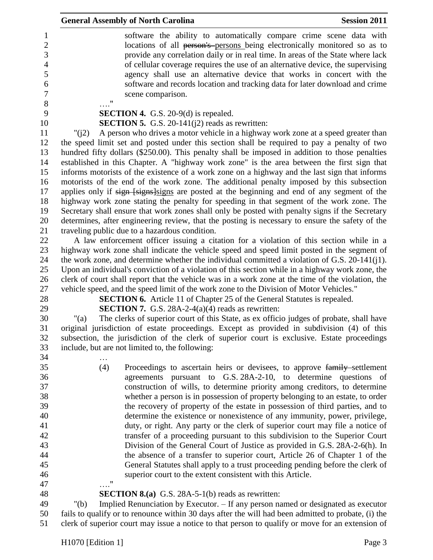|           | <b>General Assembly of North Carolina</b>                                                                                                                                                                                                                                                                                                                                                                                                                                                            | <b>Session 2011</b> |
|-----------|------------------------------------------------------------------------------------------------------------------------------------------------------------------------------------------------------------------------------------------------------------------------------------------------------------------------------------------------------------------------------------------------------------------------------------------------------------------------------------------------------|---------------------|
|           | software the ability to automatically compare crime scene data with<br>locations of all person's-persons being electronically monitored so as to<br>provide any correlation daily or in real time. In areas of the State where lack<br>of cellular coverage requires the use of an alternative device, the supervising<br>agency shall use an alternative device that works in concert with the<br>software and records location and tracking data for later download and crime<br>scene comparison. |                     |
|           | $\ldots$ "                                                                                                                                                                                                                                                                                                                                                                                                                                                                                           |                     |
|           | <b>SECTION 4.</b> G.S. 20-9(d) is repealed.                                                                                                                                                                                                                                                                                                                                                                                                                                                          |                     |
|           | <b>SECTION 5.</b> G.S. 20-141( $j2$ ) reads as rewritten:                                                                                                                                                                                                                                                                                                                                                                                                                                            |                     |
| "( $i2$ ) | A person who drives a motor vehicle in a highway work zone at a speed greater than                                                                                                                                                                                                                                                                                                                                                                                                                   |                     |
|           | the speed limit set and posted under this section shall be required to pay a penalty of two                                                                                                                                                                                                                                                                                                                                                                                                          |                     |
|           | hundred fifty dollars (\$250.00). This penalty shall be imposed in addition to those penalties                                                                                                                                                                                                                                                                                                                                                                                                       |                     |
|           | established in this Chapter. A "highway work zone" is the area between the first sign that                                                                                                                                                                                                                                                                                                                                                                                                           |                     |
|           | informs motorists of the existence of a work zone on a highway and the last sign that informs<br>motorists of the end of the work zone. The additional penalty imposed by this subsection                                                                                                                                                                                                                                                                                                            |                     |
|           | applies only if sign [signs]signs are posted at the beginning and end of any segment of the                                                                                                                                                                                                                                                                                                                                                                                                          |                     |
|           | highway work zone stating the penalty for speeding in that segment of the work zone. The                                                                                                                                                                                                                                                                                                                                                                                                             |                     |
|           | Secretary shall ensure that work zones shall only be posted with penalty signs if the Secretary                                                                                                                                                                                                                                                                                                                                                                                                      |                     |
|           | determines, after engineering review, that the posting is necessary to ensure the safety of the                                                                                                                                                                                                                                                                                                                                                                                                      |                     |
|           | traveling public due to a hazardous condition.                                                                                                                                                                                                                                                                                                                                                                                                                                                       |                     |
|           | A law enforcement officer issuing a citation for a violation of this section while in a                                                                                                                                                                                                                                                                                                                                                                                                              |                     |
|           | highway work zone shall indicate the vehicle speed and speed limit posted in the segment of                                                                                                                                                                                                                                                                                                                                                                                                          |                     |
|           | the work zone, and determine whether the individual committed a violation of G.S. 20-141(j1).                                                                                                                                                                                                                                                                                                                                                                                                        |                     |
|           | Upon an individual's conviction of a violation of this section while in a highway work zone, the                                                                                                                                                                                                                                                                                                                                                                                                     |                     |
|           | clerk of court shall report that the vehicle was in a work zone at the time of the violation, the                                                                                                                                                                                                                                                                                                                                                                                                    |                     |
|           | vehicle speed, and the speed limit of the work zone to the Division of Motor Vehicles."                                                                                                                                                                                                                                                                                                                                                                                                              |                     |
|           | <b>SECTION 6.</b> Article 11 of Chapter 25 of the General Statutes is repealed.                                                                                                                                                                                                                                                                                                                                                                                                                      |                     |
|           | <b>SECTION 7.</b> G.S. 28A-2-4(a)(4) reads as rewritten:                                                                                                                                                                                                                                                                                                                                                                                                                                             |                     |
| " $(a)$   | The clerks of superior court of this State, as ex officio judges of probate, shall have                                                                                                                                                                                                                                                                                                                                                                                                              |                     |
|           | original jurisdiction of estate proceedings. Except as provided in subdivision (4) of this                                                                                                                                                                                                                                                                                                                                                                                                           |                     |
|           | subsection, the jurisdiction of the clerk of superior court is exclusive. Estate proceedings                                                                                                                                                                                                                                                                                                                                                                                                         |                     |
|           | include, but are not limited to, the following:                                                                                                                                                                                                                                                                                                                                                                                                                                                      |                     |
|           |                                                                                                                                                                                                                                                                                                                                                                                                                                                                                                      |                     |
|           | (4)<br>Proceedings to ascertain heirs or devisees, to approve family settlement                                                                                                                                                                                                                                                                                                                                                                                                                      |                     |
|           | agreements pursuant to G.S. 28A-2-10, to determine questions of                                                                                                                                                                                                                                                                                                                                                                                                                                      |                     |
|           | construction of wills, to determine priority among creditors, to determine                                                                                                                                                                                                                                                                                                                                                                                                                           |                     |
|           | whether a person is in possession of property belonging to an estate, to order                                                                                                                                                                                                                                                                                                                                                                                                                       |                     |
|           | the recovery of property of the estate in possession of third parties, and to                                                                                                                                                                                                                                                                                                                                                                                                                        |                     |
|           | determine the existence or nonexistence of any immunity, power, privilege,                                                                                                                                                                                                                                                                                                                                                                                                                           |                     |
|           | duty, or right. Any party or the clerk of superior court may file a notice of                                                                                                                                                                                                                                                                                                                                                                                                                        |                     |
|           | transfer of a proceeding pursuant to this subdivision to the Superior Court                                                                                                                                                                                                                                                                                                                                                                                                                          |                     |
|           | Division of the General Court of Justice as provided in G.S. 28A-2-6(h). In                                                                                                                                                                                                                                                                                                                                                                                                                          |                     |
|           | the absence of a transfer to superior court, Article 26 of Chapter 1 of the                                                                                                                                                                                                                                                                                                                                                                                                                          |                     |
|           | General Statutes shall apply to a trust proceeding pending before the clerk of                                                                                                                                                                                                                                                                                                                                                                                                                       |                     |
|           | superior court to the extent consistent with this Article.<br>11                                                                                                                                                                                                                                                                                                                                                                                                                                     |                     |
|           | <b>SECTION 8.(a)</b> G.S. 28A-5-1(b) reads as rewritten:                                                                                                                                                                                                                                                                                                                                                                                                                                             |                     |
| " $(b)$   | Implied Renunciation by Executor. – If any person named or designated as executor                                                                                                                                                                                                                                                                                                                                                                                                                    |                     |
|           |                                                                                                                                                                                                                                                                                                                                                                                                                                                                                                      |                     |

 fails to qualify or to renounce within 30 days after the will had been admitted to probate, (i) the clerk of superior court may issue a notice to that person to qualify or move for an extension of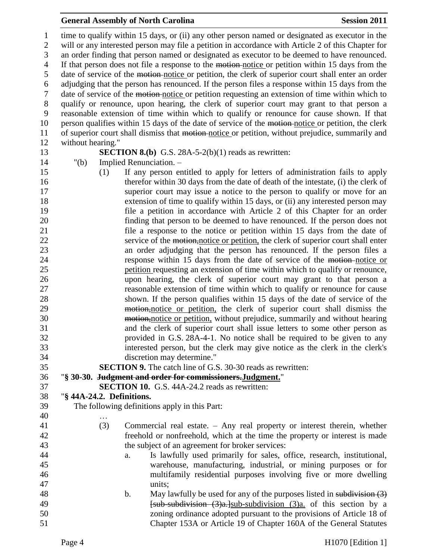#### **General Assembly of North Carolina Session 2011**

 time to qualify within 15 days, or (ii) any other person named or designated as executor in the will or any interested person may file a petition in accordance with Article 2 of this Chapter for an order finding that person named or designated as executor to be deemed to have renounced. If that person does not file a response to the motion notice or petition within 15 days from the date of service of the motion notice or petition, the clerk of superior court shall enter an order adjudging that the person has renounced. If the person files a response within 15 days from the date of service of the motion notice or petition requesting an extension of time within which to qualify or renounce, upon hearing, the clerk of superior court may grant to that person a reasonable extension of time within which to qualify or renounce for cause shown. If that person qualifies within 15 days of the date of service of the motion notice or petition, the clerk of superior court shall dismiss that motion notice or petition, without prejudice, summarily and without hearing." **SECTION 8.(b)** G.S. 28A-5-2(b)(1) reads as rewritten: "(b) Implied Renunciation. – (1) If any person entitled to apply for letters of administration fails to apply therefor within 30 days from the date of death of the intestate, (i) the clerk of superior court may issue a notice to the person to qualify or move for an extension of time to qualify within 15 days, or (ii) any interested person may file a petition in accordance with Article 2 of this Chapter for an order finding that person to be deemed to have renounced. If the person does not file a response to the notice or petition within 15 days from the date of 22 service of the motion, notice or petition, the clerk of superior court shall enter an order adjudging that the person has renounced. If the person files a **response within 15 days from the date of service of the motion-notice or**  petition requesting an extension of time within which to qualify or renounce, upon hearing, the clerk of superior court may grant to that person a reasonable extension of time within which to qualify or renounce for cause shown. If the person qualifies within 15 days of the date of service of the motion,notice or petition, the clerk of superior court shall dismiss the **motion**, motion, without prejudice, summarily and without hearing and the clerk of superior court shall issue letters to some other person as provided in G.S. 28A-4-1. No notice shall be required to be given to any interested person, but the clerk may give notice as the clerk in the clerk's discretion may determine." **SECTION 9.** The catch line of G.S. 30-30 reads as rewritten: "**§ 30-30. Judgment and order for commissioners.Judgment.**" **SECTION 10.** G.S. 44A-24.2 reads as rewritten: "**§ 44A-24.2. Definitions.** The following definitions apply in this Part: … (3) Commercial real estate. – Any real property or interest therein, whether freehold or nonfreehold, which at the time the property or interest is made the subject of an agreement for broker services: a. Is lawfully used primarily for sales, office, research, institutional, warehouse, manufacturing, industrial, or mining purposes or for multifamily residential purposes involving five or more dwelling units; 48 b. May lawfully be used for any of the purposes listed in subdivision (3) **Eub-subdivision** (3)a. Isub-subdivision (3)a. of this section by a zoning ordinance adopted pursuant to the provisions of Article 18 of

Chapter 153A or Article 19 of Chapter 160A of the General Statutes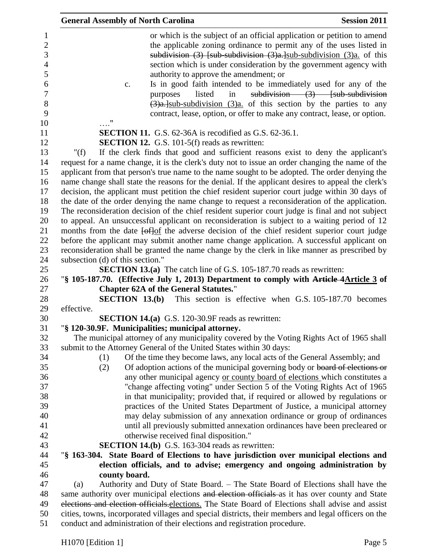| <b>General Assembly of North Carolina</b><br><b>Session 2011</b>                                                                                                                                                                                                                                                                                                                                                                                                                                                                                                                                                                                                                         |
|------------------------------------------------------------------------------------------------------------------------------------------------------------------------------------------------------------------------------------------------------------------------------------------------------------------------------------------------------------------------------------------------------------------------------------------------------------------------------------------------------------------------------------------------------------------------------------------------------------------------------------------------------------------------------------------|
| or which is the subject of an official application or petition to amend<br>the applicable zoning ordinance to permit any of the uses listed in<br>subdivision $(3)$ [sub-subdivision $(3)a$ ] sub-subdivision $(3)a$ of this<br>section which is under consideration by the government agency with<br>authority to approve the amendment; or<br>Is in good faith intended to be immediately used for any of the<br>c.<br>subdivision $(3)$ [sub-subdivision]<br>purposes<br>listed<br>in<br>$\left(\frac{3}{2}\right)a$ . sub-subdivision $\left(\frac{3}{2}\right)a$ of this section by the parties to any<br>contract, lease, option, or offer to make any contract, lease, or option. |
| 11                                                                                                                                                                                                                                                                                                                                                                                                                                                                                                                                                                                                                                                                                       |
| <b>SECTION 11.</b> G.S. 62-36A is recodified as G.S. 62-36.1.<br><b>SECTION 12.</b> G.S. 101-5(f) reads as rewritten:                                                                                                                                                                                                                                                                                                                                                                                                                                                                                                                                                                    |
| If the clerk finds that good and sufficient reasons exist to deny the applicant's<br>" $(f)$                                                                                                                                                                                                                                                                                                                                                                                                                                                                                                                                                                                             |
| request for a name change, it is the clerk's duty not to issue an order changing the name of the                                                                                                                                                                                                                                                                                                                                                                                                                                                                                                                                                                                         |
| applicant from that person's true name to the name sought to be adopted. The order denying the                                                                                                                                                                                                                                                                                                                                                                                                                                                                                                                                                                                           |
| name change shall state the reasons for the denial. If the applicant desires to appeal the clerk's                                                                                                                                                                                                                                                                                                                                                                                                                                                                                                                                                                                       |
| decision, the applicant must petition the chief resident superior court judge within 30 days of                                                                                                                                                                                                                                                                                                                                                                                                                                                                                                                                                                                          |
| the date of the order denying the name change to request a reconsideration of the application.                                                                                                                                                                                                                                                                                                                                                                                                                                                                                                                                                                                           |
| The reconsideration decision of the chief resident superior court judge is final and not subject                                                                                                                                                                                                                                                                                                                                                                                                                                                                                                                                                                                         |
| to appeal. An unsuccessful applicant on reconsideration is subject to a waiting period of 12                                                                                                                                                                                                                                                                                                                                                                                                                                                                                                                                                                                             |
| months from the date $\frac{f \cdot f}{f}$ the adverse decision of the chief resident superior court judge                                                                                                                                                                                                                                                                                                                                                                                                                                                                                                                                                                               |
| before the applicant may submit another name change application. A successful applicant on                                                                                                                                                                                                                                                                                                                                                                                                                                                                                                                                                                                               |
| reconsideration shall be granted the name change by the clerk in like manner as prescribed by                                                                                                                                                                                                                                                                                                                                                                                                                                                                                                                                                                                            |
| subsection (d) of this section."                                                                                                                                                                                                                                                                                                                                                                                                                                                                                                                                                                                                                                                         |
| <b>SECTION 13.(a)</b> The catch line of G.S. 105-187.70 reads as rewritten:                                                                                                                                                                                                                                                                                                                                                                                                                                                                                                                                                                                                              |
| "§ 105-187.70. (Effective July 1, 2013) Department to comply with Article 4Article 3 of                                                                                                                                                                                                                                                                                                                                                                                                                                                                                                                                                                                                  |
| <b>Chapter 62A of the General Statutes."</b>                                                                                                                                                                                                                                                                                                                                                                                                                                                                                                                                                                                                                                             |
| <b>SECTION 13.(b)</b> This section is effective when G.S. 105-187.70 becomes                                                                                                                                                                                                                                                                                                                                                                                                                                                                                                                                                                                                             |
| effective.                                                                                                                                                                                                                                                                                                                                                                                                                                                                                                                                                                                                                                                                               |
| <b>SECTION 14.(a)</b> G.S. 120-30.9F reads as rewritten:                                                                                                                                                                                                                                                                                                                                                                                                                                                                                                                                                                                                                                 |
| "§ 120-30.9F. Municipalities; municipal attorney.<br>The municipal attorney of any municipality covered by the Voting Rights Act of 1965 shall                                                                                                                                                                                                                                                                                                                                                                                                                                                                                                                                           |
| submit to the Attorney General of the United States within 30 days:                                                                                                                                                                                                                                                                                                                                                                                                                                                                                                                                                                                                                      |
| Of the time they become laws, any local acts of the General Assembly; and<br>(1)                                                                                                                                                                                                                                                                                                                                                                                                                                                                                                                                                                                                         |
| Of adoption actions of the municipal governing body or board of elections or<br>(2)                                                                                                                                                                                                                                                                                                                                                                                                                                                                                                                                                                                                      |
| any other municipal agency or county board of elections which constitutes a                                                                                                                                                                                                                                                                                                                                                                                                                                                                                                                                                                                                              |
| "change affecting voting" under Section 5 of the Voting Rights Act of 1965                                                                                                                                                                                                                                                                                                                                                                                                                                                                                                                                                                                                               |
| in that municipality; provided that, if required or allowed by regulations or                                                                                                                                                                                                                                                                                                                                                                                                                                                                                                                                                                                                            |
| practices of the United States Department of Justice, a municipal attorney                                                                                                                                                                                                                                                                                                                                                                                                                                                                                                                                                                                                               |
| may delay submission of any annexation ordinance or group of ordinances                                                                                                                                                                                                                                                                                                                                                                                                                                                                                                                                                                                                                  |
| until all previously submitted annexation ordinances have been precleared or                                                                                                                                                                                                                                                                                                                                                                                                                                                                                                                                                                                                             |
| otherwise received final disposition."                                                                                                                                                                                                                                                                                                                                                                                                                                                                                                                                                                                                                                                   |
| <b>SECTION 14.(b)</b> G.S. 163-304 reads as rewritten:                                                                                                                                                                                                                                                                                                                                                                                                                                                                                                                                                                                                                                   |
| "§ 163-304. State Board of Elections to have jurisdiction over municipal elections and                                                                                                                                                                                                                                                                                                                                                                                                                                                                                                                                                                                                   |
| election officials, and to advise; emergency and ongoing administration by                                                                                                                                                                                                                                                                                                                                                                                                                                                                                                                                                                                                               |
| county board.                                                                                                                                                                                                                                                                                                                                                                                                                                                                                                                                                                                                                                                                            |
| Authority and Duty of State Board. – The State Board of Elections shall have the<br>(a)                                                                                                                                                                                                                                                                                                                                                                                                                                                                                                                                                                                                  |
| same authority over municipal elections and election officials as it has over county and State                                                                                                                                                                                                                                                                                                                                                                                                                                                                                                                                                                                           |
| elections and election officials. elections. The State Board of Elections shall advise and assist                                                                                                                                                                                                                                                                                                                                                                                                                                                                                                                                                                                        |
| cities, towns, incorporated villages and special districts, their members and legal officers on the                                                                                                                                                                                                                                                                                                                                                                                                                                                                                                                                                                                      |

conduct and administration of their elections and registration procedure.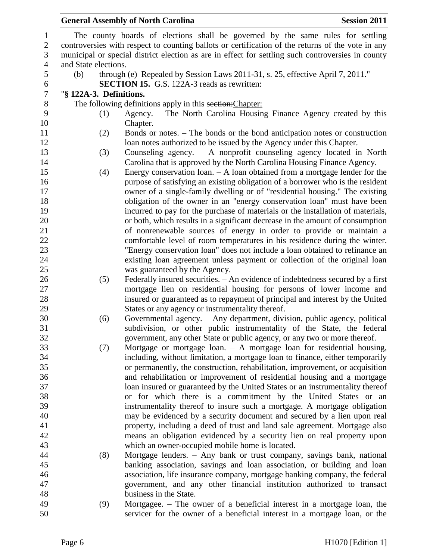# **General Assembly of North Carolina Session 2011**

| $\mathbf{1}$          |                                                                                                   | The county boards of elections shall be governed by the same rules for settling                                                                            |  |  |  |
|-----------------------|---------------------------------------------------------------------------------------------------|------------------------------------------------------------------------------------------------------------------------------------------------------------|--|--|--|
| $\overline{2}$        |                                                                                                   | controversies with respect to counting ballots or certification of the returns of the vote in any                                                          |  |  |  |
| $\mathfrak{Z}$        | municipal or special district election as are in effect for settling such controversies in county |                                                                                                                                                            |  |  |  |
| $\overline{4}$        | and State elections.                                                                              |                                                                                                                                                            |  |  |  |
| 5<br>$\boldsymbol{6}$ | (b)                                                                                               | through (e) Repealed by Session Laws 2011-31, s. 25, effective April 7, 2011."<br><b>SECTION 15.</b> G.S. 122A-3 reads as rewritten:                       |  |  |  |
| $\boldsymbol{7}$      | "§ 122A-3. Definitions.                                                                           |                                                                                                                                                            |  |  |  |
| $8\,$                 |                                                                                                   | The following definitions apply in this section: Chapter:                                                                                                  |  |  |  |
| 9                     | (1)                                                                                               | Agency. – The North Carolina Housing Finance Agency created by this                                                                                        |  |  |  |
| 10                    |                                                                                                   | Chapter.                                                                                                                                                   |  |  |  |
| 11                    | (2)                                                                                               | Bonds or notes. – The bonds or the bond anticipation notes or construction                                                                                 |  |  |  |
| 12                    |                                                                                                   | loan notes authorized to be issued by the Agency under this Chapter.                                                                                       |  |  |  |
| 13                    | (3)                                                                                               | Counseling agency. $-$ A nonprofit counseling agency located in North                                                                                      |  |  |  |
| 14                    |                                                                                                   | Carolina that is approved by the North Carolina Housing Finance Agency.                                                                                    |  |  |  |
| 15                    | (4)                                                                                               | Energy conservation $loan - A loan obtained from a mortgage lender for the$                                                                                |  |  |  |
| 16<br>17              |                                                                                                   | purpose of satisfying an existing obligation of a borrower who is the resident                                                                             |  |  |  |
| 18                    |                                                                                                   | owner of a single-family dwelling or of "residential housing." The existing                                                                                |  |  |  |
| 19                    |                                                                                                   | obligation of the owner in an "energy conservation loan" must have been<br>incurred to pay for the purchase of materials or the installation of materials, |  |  |  |
| 20                    |                                                                                                   | or both, which results in a significant decrease in the amount of consumption                                                                              |  |  |  |
| 21                    |                                                                                                   | of nonrenewable sources of energy in order to provide or maintain a                                                                                        |  |  |  |
| 22                    |                                                                                                   | comfortable level of room temperatures in his residence during the winter.                                                                                 |  |  |  |
| 23                    |                                                                                                   | "Energy conservation loan" does not include a loan obtained to refinance an                                                                                |  |  |  |
| 24                    |                                                                                                   | existing loan agreement unless payment or collection of the original loan                                                                                  |  |  |  |
| 25                    |                                                                                                   | was guaranteed by the Agency.                                                                                                                              |  |  |  |
| 26                    | (5)                                                                                               | Federally insured securities. – An evidence of indebtedness secured by a first                                                                             |  |  |  |
| 27                    |                                                                                                   | mortgage lien on residential housing for persons of lower income and                                                                                       |  |  |  |
| 28                    |                                                                                                   | insured or guaranteed as to repayment of principal and interest by the United                                                                              |  |  |  |
| 29                    |                                                                                                   | States or any agency or instrumentality thereof.                                                                                                           |  |  |  |
| 30                    | (6)                                                                                               | Governmental agency. - Any department, division, public agency, political                                                                                  |  |  |  |
| 31                    |                                                                                                   | subdivision, or other public instrumentality of the State, the federal                                                                                     |  |  |  |
| 32                    |                                                                                                   | government, any other State or public agency, or any two or more thereof.                                                                                  |  |  |  |
| 33                    | (7)                                                                                               | Mortgage or mortgage loan. - A mortgage loan for residential housing,                                                                                      |  |  |  |
| 34                    |                                                                                                   | including, without limitation, a mortgage loan to finance, either temporarily                                                                              |  |  |  |
| 35                    |                                                                                                   | or permanently, the construction, rehabilitation, improvement, or acquisition                                                                              |  |  |  |
| 36                    |                                                                                                   | and rehabilitation or improvement of residential housing and a mortgage                                                                                    |  |  |  |
| 37                    |                                                                                                   | loan insured or guaranteed by the United States or an instrumentality thereof                                                                              |  |  |  |
| 38                    |                                                                                                   | or for which there is a commitment by the United States or an                                                                                              |  |  |  |
| 39                    |                                                                                                   | instrumentality thereof to insure such a mortgage. A mortgage obligation                                                                                   |  |  |  |
| 40                    |                                                                                                   | may be evidenced by a security document and secured by a lien upon real                                                                                    |  |  |  |
| 41                    |                                                                                                   | property, including a deed of trust and land sale agreement. Mortgage also                                                                                 |  |  |  |
| 42                    |                                                                                                   | means an obligation evidenced by a security lien on real property upon                                                                                     |  |  |  |
| 43                    |                                                                                                   | which an owner-occupied mobile home is located.                                                                                                            |  |  |  |
| 44                    | (8)                                                                                               | Mortgage lenders. - Any bank or trust company, savings bank, national                                                                                      |  |  |  |
| 45                    |                                                                                                   | banking association, savings and loan association, or building and loan                                                                                    |  |  |  |
| 46<br>47              |                                                                                                   | association, life insurance company, mortgage banking company, the federal                                                                                 |  |  |  |
| 48                    |                                                                                                   | government, and any other financial institution authorized to transact<br>business in the State.                                                           |  |  |  |
| 49                    | (9)                                                                                               | Mortgagee. – The owner of a beneficial interest in a mortgage loan, the                                                                                    |  |  |  |
| 50                    |                                                                                                   | servicer for the owner of a beneficial interest in a mortgage loan, or the                                                                                 |  |  |  |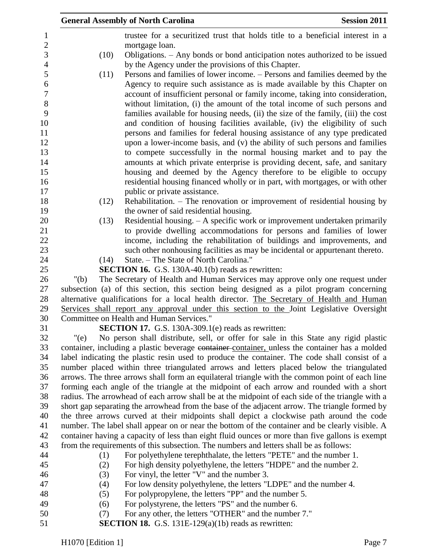|                  | <b>General Assembly of North Carolina</b><br><b>Session 2011</b>                                                                                                                            |
|------------------|---------------------------------------------------------------------------------------------------------------------------------------------------------------------------------------------|
| $\mathbf{1}$     | trustee for a securitized trust that holds title to a beneficial interest in a                                                                                                              |
| $\overline{c}$   | mortgage loan.                                                                                                                                                                              |
| 3                | Obligations. – Any bonds or bond anticipation notes authorized to be issued<br>(10)                                                                                                         |
| $\overline{4}$   | by the Agency under the provisions of this Chapter.                                                                                                                                         |
| $\mathfrak{S}$   | Persons and families of lower income. – Persons and families deemed by the<br>(11)                                                                                                          |
| 6                | Agency to require such assistance as is made available by this Chapter on                                                                                                                   |
| $\boldsymbol{7}$ | account of insufficient personal or family income, taking into consideration,                                                                                                               |
| $\,8\,$          | without limitation, (i) the amount of the total income of such persons and                                                                                                                  |
| 9                | families available for housing needs, (ii) the size of the family, (iii) the cost                                                                                                           |
| 10               | and condition of housing facilities available, (iv) the eligibility of such                                                                                                                 |
| 11               | persons and families for federal housing assistance of any type predicated                                                                                                                  |
| 12               | upon a lower-income basis, and (v) the ability of such persons and families                                                                                                                 |
| 13               | to compete successfully in the normal housing market and to pay the                                                                                                                         |
| 14               | amounts at which private enterprise is providing decent, safe, and sanitary                                                                                                                 |
| 15               | housing and deemed by the Agency therefore to be eligible to occupy                                                                                                                         |
| 16<br>17         | residential housing financed wholly or in part, with mortgages, or with other<br>public or private assistance.                                                                              |
| 18               | Rehabilitation. – The renovation or improvement of residential housing by<br>(12)                                                                                                           |
| 19               | the owner of said residential housing.                                                                                                                                                      |
| 20               | Residential housing. $- A$ specific work or improvement undertaken primarily<br>(13)                                                                                                        |
| 21               | to provide dwelling accommodations for persons and families of lower                                                                                                                        |
| 22               | income, including the rehabilitation of buildings and improvements, and                                                                                                                     |
| 23               | such other nonhousing facilities as may be incidental or appurtenant thereto.                                                                                                               |
| 24               | State. - The State of North Carolina."<br>(14)                                                                                                                                              |
| 25               | <b>SECTION 16.</b> G.S. 130A-40.1(b) reads as rewritten:                                                                                                                                    |
| 26               | The Secretary of Health and Human Services may approve only one request under<br>" $(b)$                                                                                                    |
| 27               | subsection (a) of this section, this section being designed as a pilot program concerning                                                                                                   |
| 28               | alternative qualifications for a local health director. The Secretary of Health and Human                                                                                                   |
| 29               | Services shall report any approval under this section to the Joint Legislative Oversight                                                                                                    |
| 30               | Committee on Health and Human Services."                                                                                                                                                    |
| 31               | <b>SECTION 17.</b> G.S. 130A-309.1(e) reads as rewritten:                                                                                                                                   |
| 32               | "(e)<br>No person shall distribute, sell, or offer for sale in this State any rigid plastic                                                                                                 |
| 33               | container, including a plastic beverage container container, unless the container has a molded                                                                                              |
| 34               | label indicating the plastic resin used to produce the container. The code shall consist of a                                                                                               |
| 35               | number placed within three triangulated arrows and letters placed below the triangulated                                                                                                    |
| 36<br>37         | arrows. The three arrows shall form an equilateral triangle with the common point of each line<br>forming each angle of the triangle at the midpoint of each arrow and rounded with a short |
| 38               | radius. The arrowhead of each arrow shall be at the midpoint of each side of the triangle with a                                                                                            |
| 39               | short gap separating the arrowhead from the base of the adjacent arrow. The triangle formed by                                                                                              |
| 40               | the three arrows curved at their midpoints shall depict a clockwise path around the code                                                                                                    |
| 41               | number. The label shall appear on or near the bottom of the container and be clearly visible. A                                                                                             |
| 42               | container having a capacity of less than eight fluid ounces or more than five gallons is exempt                                                                                             |
| 43               | from the requirements of this subsection. The numbers and letters shall be as follows:                                                                                                      |
| 44               | For polyethylene terephthalate, the letters "PETE" and the number 1.<br>(1)                                                                                                                 |
| 45               | For high density polyethylene, the letters "HDPE" and the number 2.<br>(2)                                                                                                                  |
| 46               | For vinyl, the letter "V" and the number 3.<br>(3)                                                                                                                                          |
| 47               | For low density polyethylene, the letters "LDPE" and the number 4.<br>(4)                                                                                                                   |
| 48               | For polypropylene, the letters "PP" and the number 5.<br>(5)                                                                                                                                |
| 49               | For polystyrene, the letters "PS" and the number 6.<br>(6)                                                                                                                                  |
| 50               | For any other, the letters "OTHER" and the number 7."<br>(7)                                                                                                                                |
| 51               | <b>SECTION 18.</b> G.S. 131E-129(a)(1b) reads as rewritten:                                                                                                                                 |
|                  |                                                                                                                                                                                             |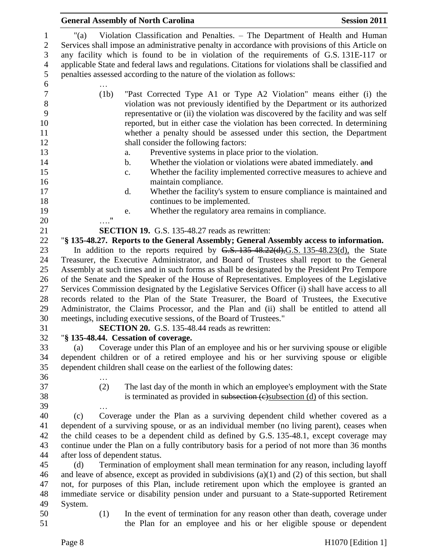|                                                                              | <b>Session 2011</b><br><b>General Assembly of North Carolina</b>                                                                                                                                                                                                                                                                                                                                                                                                     |  |  |
|------------------------------------------------------------------------------|----------------------------------------------------------------------------------------------------------------------------------------------------------------------------------------------------------------------------------------------------------------------------------------------------------------------------------------------------------------------------------------------------------------------------------------------------------------------|--|--|
| $\mathbf{1}$<br>$\overline{2}$<br>$\mathfrak{Z}$<br>$\overline{4}$<br>5<br>6 | Violation Classification and Penalties. – The Department of Health and Human<br>"(a)<br>Services shall impose an administrative penalty in accordance with provisions of this Article on<br>any facility which is found to be in violation of the requirements of G.S. 131E-117 or<br>applicable State and federal laws and regulations. Citations for violations shall be classified and<br>penalties assessed according to the nature of the violation as follows: |  |  |
|                                                                              |                                                                                                                                                                                                                                                                                                                                                                                                                                                                      |  |  |
| $\boldsymbol{7}$<br>$\,8\,$<br>9<br>10<br>11<br>12                           | "Past Corrected Type A1 or Type A2 Violation" means either (i) the<br>(1b)<br>violation was not previously identified by the Department or its authorized<br>representative or (ii) the violation was discovered by the facility and was self<br>reported, but in either case the violation has been corrected. In determining<br>whether a penalty should be assessed under this section, the Department<br>shall consider the following factors:                   |  |  |
|                                                                              |                                                                                                                                                                                                                                                                                                                                                                                                                                                                      |  |  |
| 13                                                                           | Preventive systems in place prior to the violation.<br>a.                                                                                                                                                                                                                                                                                                                                                                                                            |  |  |
| 14                                                                           | Whether the violation or violations were abated immediately. and<br>b.                                                                                                                                                                                                                                                                                                                                                                                               |  |  |
| 15<br>16                                                                     | Whether the facility implemented corrective measures to achieve and<br>c.<br>maintain compliance.                                                                                                                                                                                                                                                                                                                                                                    |  |  |
| 17                                                                           | Whether the facility's system to ensure compliance is maintained and<br>d.                                                                                                                                                                                                                                                                                                                                                                                           |  |  |
| 18                                                                           | continues to be implemented.                                                                                                                                                                                                                                                                                                                                                                                                                                         |  |  |
| 19                                                                           | Whether the regulatory area remains in compliance.<br>e.                                                                                                                                                                                                                                                                                                                                                                                                             |  |  |
| 20                                                                           | 11                                                                                                                                                                                                                                                                                                                                                                                                                                                                   |  |  |
| 21                                                                           | <b>SECTION 19.</b> G.S. 135-48.27 reads as rewritten:                                                                                                                                                                                                                                                                                                                                                                                                                |  |  |
| 22                                                                           | "§ 135-48.27. Reports to the General Assembly; General Assembly access to information.                                                                                                                                                                                                                                                                                                                                                                               |  |  |
| 23                                                                           | In addition to the reports required by $G.S. 135-48.22(d), G.S. 135-48.23(d)$ , the State                                                                                                                                                                                                                                                                                                                                                                            |  |  |
| 24                                                                           | Treasurer, the Executive Administrator, and Board of Trustees shall report to the General                                                                                                                                                                                                                                                                                                                                                                            |  |  |
| 25                                                                           | Assembly at such times and in such forms as shall be designated by the President Pro Tempore                                                                                                                                                                                                                                                                                                                                                                         |  |  |
| 26                                                                           | of the Senate and the Speaker of the House of Representatives. Employees of the Legislative                                                                                                                                                                                                                                                                                                                                                                          |  |  |
| 27                                                                           | Services Commission designated by the Legislative Services Officer (i) shall have access to all                                                                                                                                                                                                                                                                                                                                                                      |  |  |
| 28                                                                           | records related to the Plan of the State Treasurer, the Board of Trustees, the Executive                                                                                                                                                                                                                                                                                                                                                                             |  |  |
| 29                                                                           | Administrator, the Claims Processor, and the Plan and (ii) shall be entitled to attend all                                                                                                                                                                                                                                                                                                                                                                           |  |  |
| 30                                                                           | meetings, including executive sessions, of the Board of Trustees."                                                                                                                                                                                                                                                                                                                                                                                                   |  |  |
| 31                                                                           | <b>SECTION 20.</b> G.S. 135-48.44 reads as rewritten:                                                                                                                                                                                                                                                                                                                                                                                                                |  |  |
| 32                                                                           | "§ 135-48.44. Cessation of coverage.                                                                                                                                                                                                                                                                                                                                                                                                                                 |  |  |
| 33                                                                           | Coverage under this Plan of an employee and his or her surviving spouse or eligible<br>(a)                                                                                                                                                                                                                                                                                                                                                                           |  |  |
| 34                                                                           | dependent children or of a retired employee and his or her surviving spouse or eligible                                                                                                                                                                                                                                                                                                                                                                              |  |  |
| 35                                                                           | dependent children shall cease on the earliest of the following dates:                                                                                                                                                                                                                                                                                                                                                                                               |  |  |
| 36                                                                           |                                                                                                                                                                                                                                                                                                                                                                                                                                                                      |  |  |
| 37                                                                           | (2)<br>The last day of the month in which an employee's employment with the State                                                                                                                                                                                                                                                                                                                                                                                    |  |  |
| 38                                                                           | is terminated as provided in subsection $(e)$ subsection $(d)$ of this section.                                                                                                                                                                                                                                                                                                                                                                                      |  |  |
| 39                                                                           |                                                                                                                                                                                                                                                                                                                                                                                                                                                                      |  |  |
| 40                                                                           | Coverage under the Plan as a surviving dependent child whether covered as a<br>(c)                                                                                                                                                                                                                                                                                                                                                                                   |  |  |
| 41                                                                           | dependent of a surviving spouse, or as an individual member (no living parent), ceases when                                                                                                                                                                                                                                                                                                                                                                          |  |  |
| 42                                                                           | the child ceases to be a dependent child as defined by G.S. 135-48.1, except coverage may                                                                                                                                                                                                                                                                                                                                                                            |  |  |
| 43                                                                           | continue under the Plan on a fully contributory basis for a period of not more than 36 months                                                                                                                                                                                                                                                                                                                                                                        |  |  |
| 44                                                                           | after loss of dependent status.                                                                                                                                                                                                                                                                                                                                                                                                                                      |  |  |
| 45                                                                           | Termination of employment shall mean termination for any reason, including layoff<br>(d)                                                                                                                                                                                                                                                                                                                                                                             |  |  |
| 46                                                                           | and leave of absence, except as provided in subdivisions $(a)(1)$ and $(2)$ of this section, but shall                                                                                                                                                                                                                                                                                                                                                               |  |  |
| 47                                                                           | not, for purposes of this Plan, include retirement upon which the employee is granted an                                                                                                                                                                                                                                                                                                                                                                             |  |  |
| 48                                                                           | immediate service or disability pension under and pursuant to a State-supported Retirement                                                                                                                                                                                                                                                                                                                                                                           |  |  |
| 49                                                                           | System.                                                                                                                                                                                                                                                                                                                                                                                                                                                              |  |  |
| 50                                                                           | (1)<br>In the event of termination for any reason other than death, coverage under                                                                                                                                                                                                                                                                                                                                                                                   |  |  |
| 51                                                                           | the Plan for an employee and his or her eligible spouse or dependent                                                                                                                                                                                                                                                                                                                                                                                                 |  |  |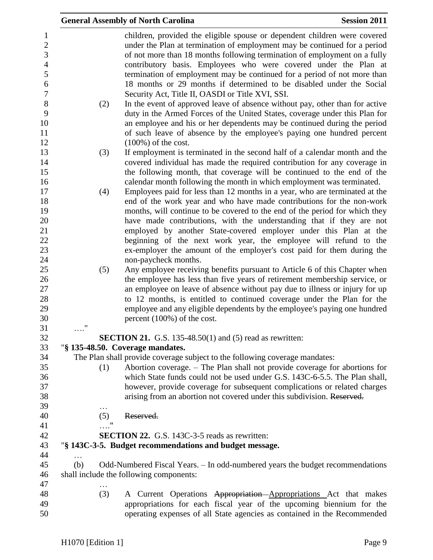|                           | <b>General Assembly of North Carolina</b>                                                                                                                                                                                                                                                                                                                                                                                                                                                                                                                                                                                                                                                                                                                                                                                           | <b>Session 2011</b> |
|---------------------------|-------------------------------------------------------------------------------------------------------------------------------------------------------------------------------------------------------------------------------------------------------------------------------------------------------------------------------------------------------------------------------------------------------------------------------------------------------------------------------------------------------------------------------------------------------------------------------------------------------------------------------------------------------------------------------------------------------------------------------------------------------------------------------------------------------------------------------------|---------------------|
| (2)                       | children, provided the eligible spouse or dependent children were covered<br>under the Plan at termination of employment may be continued for a period<br>of not more than 18 months following termination of employment on a fully<br>contributory basis. Employees who were covered under the Plan at<br>termination of employment may be continued for a period of not more than<br>18 months or 29 months if determined to be disabled under the Social<br>Security Act, Title II, OASDI or Title XVI, SSI.<br>In the event of approved leave of absence without pay, other than for active<br>duty in the Armed Forces of the United States, coverage under this Plan for<br>an employee and his or her dependents may be continued during the period<br>of such leave of absence by the employee's paying one hundred percent |                     |
| (3)                       | $(100\%)$ of the cost.<br>If employment is terminated in the second half of a calendar month and the<br>covered individual has made the required contribution for any coverage in<br>the following month, that coverage will be continued to the end of the<br>calendar month following the month in which employment was terminated.                                                                                                                                                                                                                                                                                                                                                                                                                                                                                               |                     |
| (4)                       | Employees paid for less than 12 months in a year, who are terminated at the<br>end of the work year and who have made contributions for the non-work<br>months, will continue to be covered to the end of the period for which they<br>have made contributions, with the understanding that if they are not<br>employed by another State-covered employer under this Plan at the<br>beginning of the next work year, the employee will refund to the<br>ex-employer the amount of the employer's cost paid for them during the<br>non-paycheck months.                                                                                                                                                                                                                                                                              |                     |
| (5)<br>$\pmb{\mathsf{H}}$ | Any employee receiving benefits pursuant to Article 6 of this Chapter when<br>the employee has less than five years of retirement membership service, or<br>an employee on leave of absence without pay due to illness or injury for up<br>to 12 months, is entitled to continued coverage under the Plan for the<br>employee and any eligible dependents by the employee's paying one hundred<br>percent $(100\%)$ of the cost.                                                                                                                                                                                                                                                                                                                                                                                                    |                     |
|                           | <b>SECTION 21.</b> G.S. 135-48.50(1) and (5) read as rewritten:                                                                                                                                                                                                                                                                                                                                                                                                                                                                                                                                                                                                                                                                                                                                                                     |                     |
|                           | "§ 135-48.50. Coverage mandates.                                                                                                                                                                                                                                                                                                                                                                                                                                                                                                                                                                                                                                                                                                                                                                                                    |                     |
| (1)                       | The Plan shall provide coverage subject to the following coverage mandates:<br>Abortion coverage. – The Plan shall not provide coverage for abortions for<br>which State funds could not be used under G.S. 143C-6-5.5. The Plan shall,<br>however, provide coverage for subsequent complications or related charges<br>arising from an abortion not covered under this subdivision. Reserved.                                                                                                                                                                                                                                                                                                                                                                                                                                      |                     |
| .<br>(5)                  | Reserved.                                                                                                                                                                                                                                                                                                                                                                                                                                                                                                                                                                                                                                                                                                                                                                                                                           |                     |
| $\mathbb{R}^n$            | <b>SECTION 22.</b> G.S. 143C-3-5 reads as rewritten:                                                                                                                                                                                                                                                                                                                                                                                                                                                                                                                                                                                                                                                                                                                                                                                |                     |
|                           | "§ 143C-3-5. Budget recommendations and budget message.                                                                                                                                                                                                                                                                                                                                                                                                                                                                                                                                                                                                                                                                                                                                                                             |                     |
| (b)                       | Odd-Numbered Fiscal Years. - In odd-numbered years the budget recommendations<br>shall include the following components:                                                                                                                                                                                                                                                                                                                                                                                                                                                                                                                                                                                                                                                                                                            |                     |
| (3)                       | A Current Operations Appropriation Appropriations Act that makes<br>appropriations for each fiscal year of the upcoming biennium for the<br>operating expenses of all State agencies as contained in the Recommended                                                                                                                                                                                                                                                                                                                                                                                                                                                                                                                                                                                                                |                     |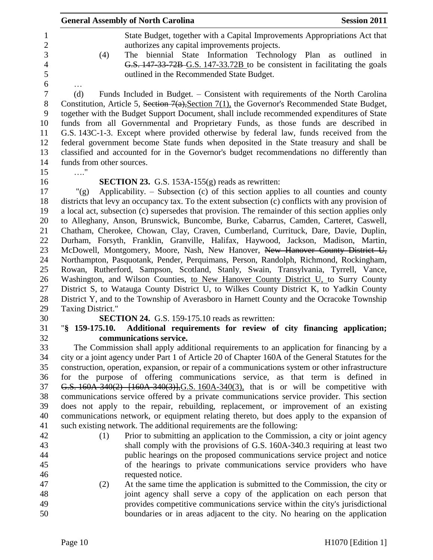|                                                                                  | <b>General Assembly of North Carolina</b>                                                                                                                                                                                                                                                                                                                                                                                                                                                                                                                                                                                                                                                                                                                                                                                                                                                                                                                                                                                                                                                                                                                                                                       | <b>Session 2011</b> |
|----------------------------------------------------------------------------------|-----------------------------------------------------------------------------------------------------------------------------------------------------------------------------------------------------------------------------------------------------------------------------------------------------------------------------------------------------------------------------------------------------------------------------------------------------------------------------------------------------------------------------------------------------------------------------------------------------------------------------------------------------------------------------------------------------------------------------------------------------------------------------------------------------------------------------------------------------------------------------------------------------------------------------------------------------------------------------------------------------------------------------------------------------------------------------------------------------------------------------------------------------------------------------------------------------------------|---------------------|
| $\mathbf{1}$<br>$\overline{c}$<br>3<br>$\overline{4}$<br>5                       | State Budget, together with a Capital Improvements Appropriations Act that<br>authorizes any capital improvements projects.<br>The biennial State Information Technology Plan as outlined in<br>(4)<br>G.S. 147-33-72B-G.S. 147-33.72B to be consistent in facilitating the goals<br>outlined in the Recommended State Budget.                                                                                                                                                                                                                                                                                                                                                                                                                                                                                                                                                                                                                                                                                                                                                                                                                                                                                  |                     |
| $\epsilon$<br>$\boldsymbol{7}$<br>$8\,$<br>9<br>10<br>11<br>12<br>13<br>14<br>15 | Funds Included in Budget. – Consistent with requirements of the North Carolina<br>(d)<br>Constitution, Article 5, Section 7(a), Section 7(1), the Governor's Recommended State Budget,<br>together with the Budget Support Document, shall include recommended expenditures of State<br>funds from all Governmental and Proprietary Funds, as those funds are described in<br>G.S. 143C-1-3. Except where provided otherwise by federal law, funds received from the<br>federal government become State funds when deposited in the State treasury and shall be<br>classified and accounted for in the Governor's budget recommendations no differently than<br>funds from other sources.                                                                                                                                                                                                                                                                                                                                                                                                                                                                                                                       |                     |
| 16<br>17<br>18<br>19<br>20<br>21<br>22<br>23<br>24<br>25<br>26<br>27<br>28<br>29 | <b>SECTION 23.</b> G.S. 153A-155 $(g)$ reads as rewritten:<br>Applicability. – Subsection (c) of this section applies to all counties and county<br>" $(g)$<br>districts that levy an occupancy tax. To the extent subsection (c) conflicts with any provision of<br>a local act, subsection (c) supersedes that provision. The remainder of this section applies only<br>to Alleghany, Anson, Brunswick, Buncombe, Burke, Cabarrus, Camden, Carteret, Caswell,<br>Chatham, Cherokee, Chowan, Clay, Craven, Cumberland, Currituck, Dare, Davie, Duplin,<br>Durham, Forsyth, Franklin, Granville, Halifax, Haywood, Jackson, Madison, Martin,<br>McDowell, Montgomery, Moore, Nash, New Hanover, New Hanover County District U,<br>Northampton, Pasquotank, Pender, Perquimans, Person, Randolph, Richmond, Rockingham,<br>Rowan, Rutherford, Sampson, Scotland, Stanly, Swain, Transylvania, Tyrrell, Vance,<br>Washington, and Wilson Counties, to New Hanover County District U, to Surry County<br>District S, to Watauga County District U, to Wilkes County District K, to Yadkin County<br>District Y, and to the Township of Averasboro in Harnett County and the Ocracoke Township<br>Taxing District." |                     |
| 30                                                                               | <b>SECTION 24.</b> G.S. 159-175.10 reads as rewritten:                                                                                                                                                                                                                                                                                                                                                                                                                                                                                                                                                                                                                                                                                                                                                                                                                                                                                                                                                                                                                                                                                                                                                          |                     |
| 31                                                                               | Additional requirements for review of city financing application;<br>"§ 159-175.10.                                                                                                                                                                                                                                                                                                                                                                                                                                                                                                                                                                                                                                                                                                                                                                                                                                                                                                                                                                                                                                                                                                                             |                     |
| 32<br>33<br>34<br>35<br>36<br>37<br>38<br>39<br>40<br>41                         | communications service.<br>The Commission shall apply additional requirements to an application for financing by a<br>city or a joint agency under Part 1 of Article 20 of Chapter 160A of the General Statutes for the<br>construction, operation, expansion, or repair of a communications system or other infrastructure<br>for the purpose of offering communications service, as that term is defined in<br>G.S. 160A-340(2) [160A-340(3)], G.S. 160A-340(3), that is or will be competitive with<br>communications service offered by a private communications service provider. This section<br>does not apply to the repair, rebuilding, replacement, or improvement of an existing<br>communications network, or equipment relating thereto, but does apply to the expansion of<br>such existing network. The additional requirements are the following:                                                                                                                                                                                                                                                                                                                                               |                     |
| 42<br>43<br>44<br>45<br>46<br>47<br>48                                           | Prior to submitting an application to the Commission, a city or joint agency<br>(1)<br>shall comply with the provisions of G.S. 160A-340.3 requiring at least two<br>public hearings on the proposed communications service project and notice<br>of the hearings to private communications service providers who have<br>requested notice.<br>At the same time the application is submitted to the Commission, the city or<br>(2)<br>joint agency shall serve a copy of the application on each person that                                                                                                                                                                                                                                                                                                                                                                                                                                                                                                                                                                                                                                                                                                    |                     |
| 49<br>50                                                                         | provides competitive communications service within the city's jurisdictional<br>boundaries or in areas adjacent to the city. No hearing on the application                                                                                                                                                                                                                                                                                                                                                                                                                                                                                                                                                                                                                                                                                                                                                                                                                                                                                                                                                                                                                                                      |                     |